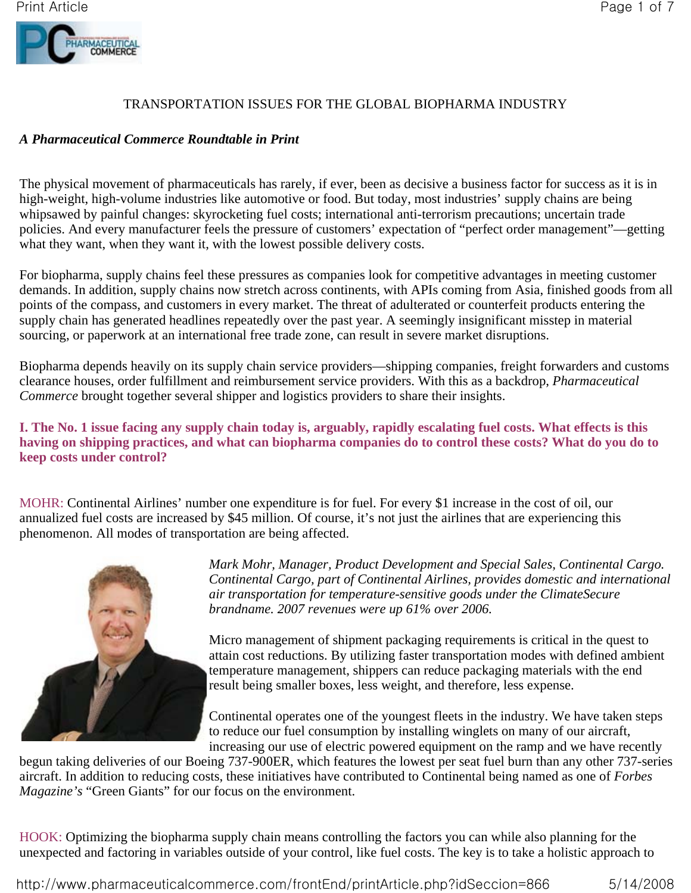

# TRANSPORTATION ISSUES FOR THE GLOBAL BIOPHARMA INDUSTRY

### *A Pharmaceutical Commerce Roundtable in Print*

The physical movement of pharmaceuticals has rarely, if ever, been as decisive a business factor for success as it is in high-weight, high-volume industries like automotive or food. But today, most industries' supply chains are being whipsawed by painful changes: skyrocketing fuel costs; international anti-terrorism precautions; uncertain trade policies. And every manufacturer feels the pressure of customers' expectation of "perfect order management"—getting what they want, when they want it, with the lowest possible delivery costs.

For biopharma, supply chains feel these pressures as companies look for competitive advantages in meeting customer demands. In addition, supply chains now stretch across continents, with APIs coming from Asia, finished goods from all points of the compass, and customers in every market. The threat of adulterated or counterfeit products entering the supply chain has generated headlines repeatedly over the past year. A seemingly insignificant misstep in material sourcing, or paperwork at an international free trade zone, can result in severe market disruptions.

Biopharma depends heavily on its supply chain service providers—shipping companies, freight forwarders and customs clearance houses, order fulfillment and reimbursement service providers. With this as a backdrop, *Pharmaceutical Commerce* brought together several shipper and logistics providers to share their insights.

# **I. The No. 1 issue facing any supply chain today is, arguably, rapidly escalating fuel costs. What effects is this having on shipping practices, and what can biopharma companies do to control these costs? What do you do to keep costs under control?**

MOHR: Continental Airlines' number one expenditure is for fuel. For every \$1 increase in the cost of oil, our annualized fuel costs are increased by \$45 million. Of course, it's not just the airlines that are experiencing this phenomenon. All modes of transportation are being affected.



*Mark Mohr, Manager, Product Development and Special Sales, Continental Cargo. Continental Cargo, part of Continental Airlines, provides domestic and international air transportation for temperature-sensitive goods under the ClimateSecure brandname. 2007 revenues were up 61% over 2006.*

Micro management of shipment packaging requirements is critical in the quest to attain cost reductions. By utilizing faster transportation modes with defined ambient temperature management, shippers can reduce packaging materials with the end result being smaller boxes, less weight, and therefore, less expense.

Continental operates one of the youngest fleets in the industry. We have taken steps to reduce our fuel consumption by installing winglets on many of our aircraft, increasing our use of electric powered equipment on the ramp and we have recently

begun taking deliveries of our Boeing 737-900ER, which features the lowest per seat fuel burn than any other 737-series aircraft. In addition to reducing costs, these initiatives have contributed to Continental being named as one of *Forbes Magazine's* "Green Giants" for our focus on the environment.

HOOK: Optimizing the biopharma supply chain means controlling the factors you can while also planning for the unexpected and factoring in variables outside of your control, like fuel costs. The key is to take a holistic approach to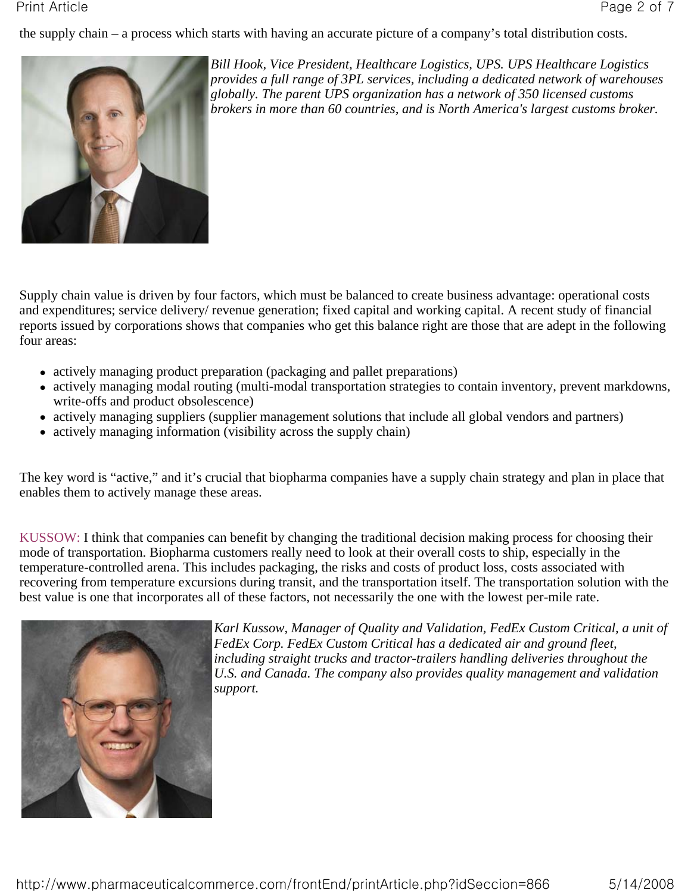the supply chain – a process which starts with having an accurate picture of a company's total distribution costs.



*Bill Hook, Vice President, Healthcare Logistics, UPS. UPS Healthcare Logistics provides a full range of 3PL services, including a dedicated network of warehouses globally. The parent UPS organization has a network of 350 licensed customs brokers in more than 60 countries, and is North America's largest customs broker.*

Supply chain value is driven by four factors, which must be balanced to create business advantage: operational costs and expenditures; service delivery/ revenue generation; fixed capital and working capital. A recent study of financial reports issued by corporations shows that companies who get this balance right are those that are adept in the following four areas:

- actively managing product preparation (packaging and pallet preparations)
- actively managing modal routing (multi-modal transportation strategies to contain inventory, prevent markdowns, write-offs and product obsolescence)
- actively managing suppliers (supplier management solutions that include all global vendors and partners)
- $\bullet$  actively managing information (visibility across the supply chain)

The key word is "active," and it's crucial that biopharma companies have a supply chain strategy and plan in place that enables them to actively manage these areas.

KUSSOW: I think that companies can benefit by changing the traditional decision making process for choosing their mode of transportation. Biopharma customers really need to look at their overall costs to ship, especially in the temperature-controlled arena. This includes packaging, the risks and costs of product loss, costs associated with recovering from temperature excursions during transit, and the transportation itself. The transportation solution with the best value is one that incorporates all of these factors, not necessarily the one with the lowest per-mile rate.



*Karl Kussow, Manager of Quality and Validation, FedEx Custom Critical, a unit of FedEx Corp. FedEx Custom Critical has a dedicated air and ground fleet, including straight trucks and tractor-trailers handling deliveries throughout the U.S. and Canada. The company also provides quality management and validation support.*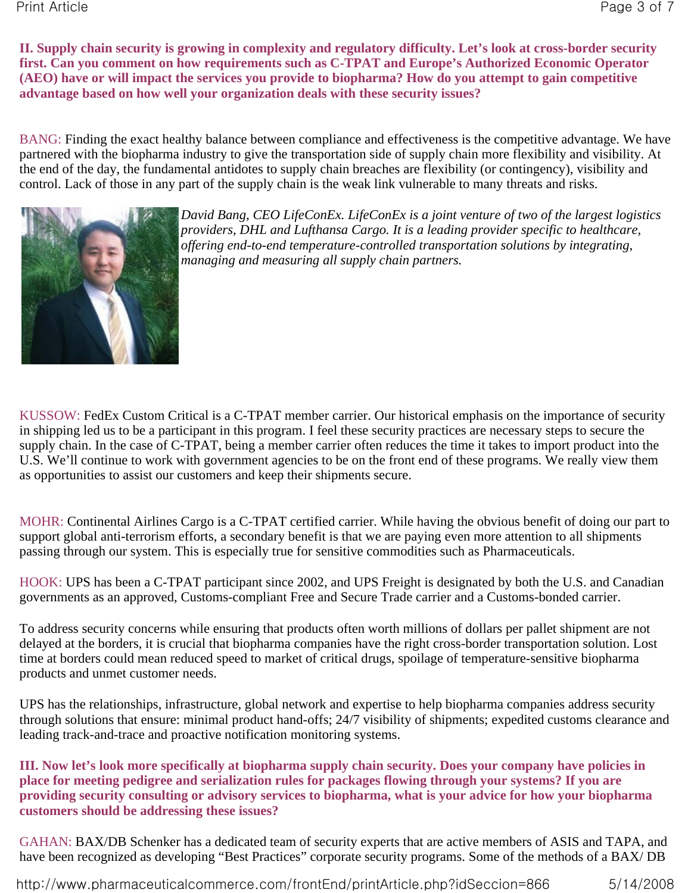**II. Supply chain security is growing in complexity and regulatory difficulty. Let's look at cross-border security first. Can you comment on how requirements such as C-TPAT and Europe's Authorized Economic Operator (AEO) have or will impact the services you provide to biopharma? How do you attempt to gain competitive advantage based on how well your organization deals with these security issues?**

BANG: Finding the exact healthy balance between compliance and effectiveness is the competitive advantage. We have partnered with the biopharma industry to give the transportation side of supply chain more flexibility and visibility. At the end of the day, the fundamental antidotes to supply chain breaches are flexibility (or contingency), visibility and control. Lack of those in any part of the supply chain is the weak link vulnerable to many threats and risks.



*David Bang, CEO LifeConEx. LifeConEx is a joint venture of two of the largest logistics providers, DHL and Lufthansa Cargo. It is a leading provider specific to healthcare, offering end-to-end temperature-controlled transportation solutions by integrating, managing and measuring all supply chain partners.*

KUSSOW: FedEx Custom Critical is a C-TPAT member carrier. Our historical emphasis on the importance of security in shipping led us to be a participant in this program. I feel these security practices are necessary steps to secure the supply chain. In the case of C-TPAT, being a member carrier often reduces the time it takes to import product into the U.S. We'll continue to work with government agencies to be on the front end of these programs. We really view them as opportunities to assist our customers and keep their shipments secure.

MOHR: Continental Airlines Cargo is a C-TPAT certified carrier. While having the obvious benefit of doing our part to support global anti-terrorism efforts, a secondary benefit is that we are paying even more attention to all shipments passing through our system. This is especially true for sensitive commodities such as Pharmaceuticals.

HOOK: UPS has been a C-TPAT participant since 2002, and UPS Freight is designated by both the U.S. and Canadian governments as an approved, Customs-compliant Free and Secure Trade carrier and a Customs-bonded carrier.

To address security concerns while ensuring that products often worth millions of dollars per pallet shipment are not delayed at the borders, it is crucial that biopharma companies have the right cross-border transportation solution. Lost time at borders could mean reduced speed to market of critical drugs, spoilage of temperature-sensitive biopharma products and unmet customer needs.

UPS has the relationships, infrastructure, global network and expertise to help biopharma companies address security through solutions that ensure: minimal product hand-offs; 24/7 visibility of shipments; expedited customs clearance and leading track-and-trace and proactive notification monitoring systems.

**III. Now let's look more specifically at biopharma supply chain security. Does your company have policies in place for meeting pedigree and serialization rules for packages flowing through your systems? If you are providing security consulting or advisory services to biopharma, what is your advice for how your biopharma customers should be addressing these issues?**

GAHAN: BAX/DB Schenker has a dedicated team of security experts that are active members of ASIS and TAPA, and have been recognized as developing "Best Practices" corporate security programs. Some of the methods of a BAX/ DB

http://www.pharmaceuticalcommerce.com/frontEnd/printArticle.php?idSeccion=866 5/14/2008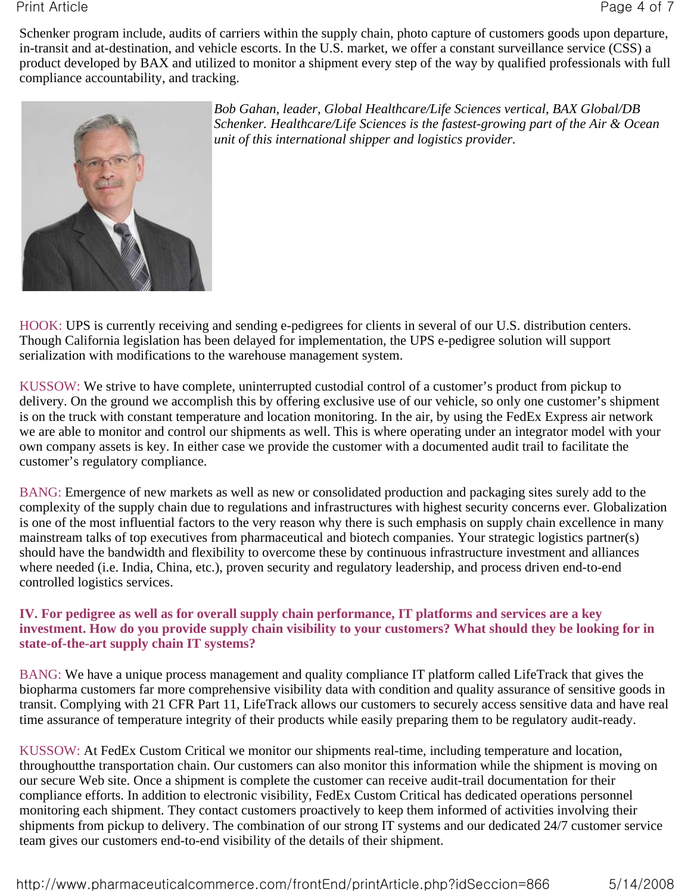Schenker program include, audits of carriers within the supply chain, photo capture of customers goods upon departure, in-transit and at-destination, and vehicle escorts. In the U.S. market, we offer a constant surveillance service (CSS) a product developed by BAX and utilized to monitor a shipment every step of the way by qualified professionals with full compliance accountability, and tracking.



*Bob Gahan, leader, Global Healthcare/Life Sciences vertical, BAX Global/DB Schenker. Healthcare/Life Sciences is the fastest-growing part of the Air & Ocean unit of this international shipper and logistics provider.*

HOOK: UPS is currently receiving and sending e-pedigrees for clients in several of our U.S. distribution centers. Though California legislation has been delayed for implementation, the UPS e-pedigree solution will support serialization with modifications to the warehouse management system.

KUSSOW: We strive to have complete, uninterrupted custodial control of a customer's product from pickup to delivery. On the ground we accomplish this by offering exclusive use of our vehicle, so only one customer's shipment is on the truck with constant temperature and location monitoring. In the air, by using the FedEx Express air network we are able to monitor and control our shipments as well. This is where operating under an integrator model with your own company assets is key. In either case we provide the customer with a documented audit trail to facilitate the customer's regulatory compliance.

BANG: Emergence of new markets as well as new or consolidated production and packaging sites surely add to the complexity of the supply chain due to regulations and infrastructures with highest security concerns ever. Globalization is one of the most influential factors to the very reason why there is such emphasis on supply chain excellence in many mainstream talks of top executives from pharmaceutical and biotech companies. Your strategic logistics partner(s) should have the bandwidth and flexibility to overcome these by continuous infrastructure investment and alliances where needed (i.e. India, China, etc.), proven security and regulatory leadership, and process driven end-to-end controlled logistics services.

# **IV. For pedigree as well as for overall supply chain performance, IT platforms and services are a key investment. How do you provide supply chain visibility to your customers? What should they be looking for in state-of-the-art supply chain IT systems?**

BANG: We have a unique process management and quality compliance IT platform called LifeTrack that gives the biopharma customers far more comprehensive visibility data with condition and quality assurance of sensitive goods in transit. Complying with 21 CFR Part 11, LifeTrack allows our customers to securely access sensitive data and have real time assurance of temperature integrity of their products while easily preparing them to be regulatory audit-ready.

KUSSOW: At FedEx Custom Critical we monitor our shipments real-time, including temperature and location, throughoutthe transportation chain. Our customers can also monitor this information while the shipment is moving on our secure Web site. Once a shipment is complete the customer can receive audit-trail documentation for their compliance efforts. In addition to electronic visibility, FedEx Custom Critical has dedicated operations personnel monitoring each shipment. They contact customers proactively to keep them informed of activities involving their shipments from pickup to delivery. The combination of our strong IT systems and our dedicated 24/7 customer service team gives our customers end-to-end visibility of the details of their shipment.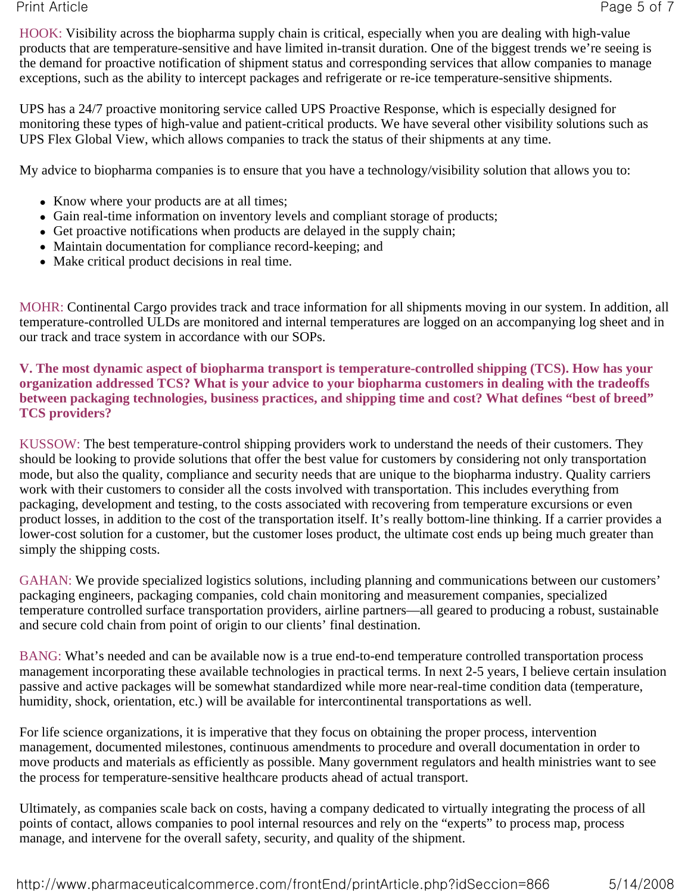HOOK: Visibility across the biopharma supply chain is critical, especially when you are dealing with high-value products that are temperature-sensitive and have limited in-transit duration. One of the biggest trends we're seeing is the demand for proactive notification of shipment status and corresponding services that allow companies to manage exceptions, such as the ability to intercept packages and refrigerate or re-ice temperature-sensitive shipments.

UPS has a 24/7 proactive monitoring service called UPS Proactive Response, which is especially designed for monitoring these types of high-value and patient-critical products. We have several other visibility solutions such as UPS Flex Global View, which allows companies to track the status of their shipments at any time.

My advice to biopharma companies is to ensure that you have a technology/visibility solution that allows you to:

- Know where your products are at all times;
- Gain real-time information on inventory levels and compliant storage of products;
- Get proactive notifications when products are delayed in the supply chain;
- Maintain documentation for compliance record-keeping; and
- Make critical product decisions in real time.

MOHR: Continental Cargo provides track and trace information for all shipments moving in our system. In addition, all temperature-controlled ULDs are monitored and internal temperatures are logged on an accompanying log sheet and in our track and trace system in accordance with our SOPs.

**V. The most dynamic aspect of biopharma transport is temperature-controlled shipping (TCS). How has your organization addressed TCS? What is your advice to your biopharma customers in dealing with the tradeoffs between packaging technologies, business practices, and shipping time and cost? What defines "best of breed" TCS providers?**

KUSSOW: The best temperature-control shipping providers work to understand the needs of their customers. They should be looking to provide solutions that offer the best value for customers by considering not only transportation mode, but also the quality, compliance and security needs that are unique to the biopharma industry. Quality carriers work with their customers to consider all the costs involved with transportation. This includes everything from packaging, development and testing, to the costs associated with recovering from temperature excursions or even product losses, in addition to the cost of the transportation itself. It's really bottom-line thinking. If a carrier provides a lower-cost solution for a customer, but the customer loses product, the ultimate cost ends up being much greater than simply the shipping costs.

GAHAN: We provide specialized logistics solutions, including planning and communications between our customers' packaging engineers, packaging companies, cold chain monitoring and measurement companies, specialized temperature controlled surface transportation providers, airline partners—all geared to producing a robust, sustainable and secure cold chain from point of origin to our clients' final destination.

BANG: What's needed and can be available now is a true end-to-end temperature controlled transportation process management incorporating these available technologies in practical terms. In next 2-5 years, I believe certain insulation passive and active packages will be somewhat standardized while more near-real-time condition data (temperature, humidity, shock, orientation, etc.) will be available for intercontinental transportations as well.

For life science organizations, it is imperative that they focus on obtaining the proper process, intervention management, documented milestones, continuous amendments to procedure and overall documentation in order to move products and materials as efficiently as possible. Many government regulators and health ministries want to see the process for temperature-sensitive healthcare products ahead of actual transport.

Ultimately, as companies scale back on costs, having a company dedicated to virtually integrating the process of all points of contact, allows companies to pool internal resources and rely on the "experts" to process map, process manage, and intervene for the overall safety, security, and quality of the shipment.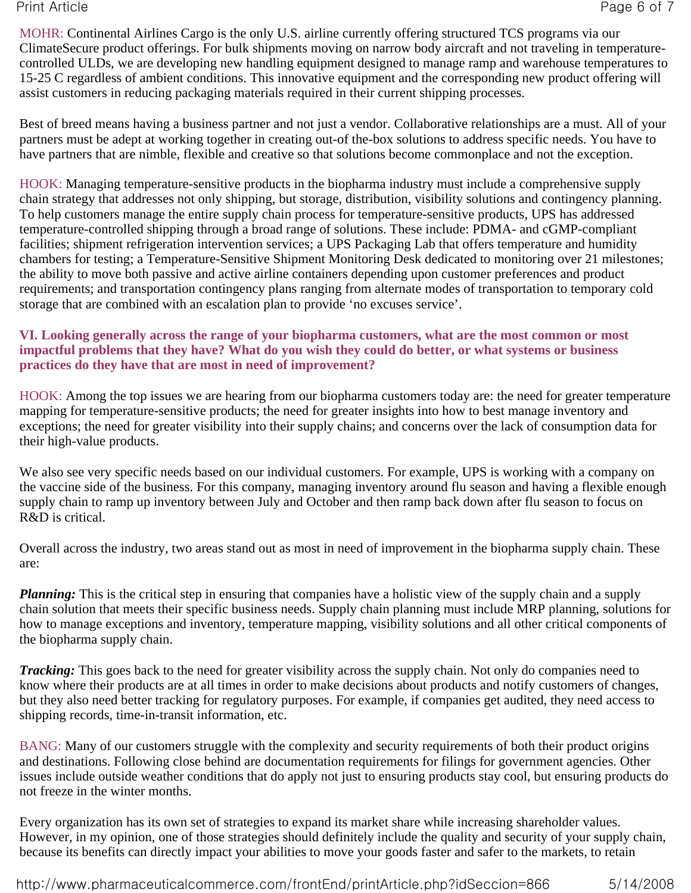MOHR: Continental Airlines Cargo is the only U.S. airline currently offering structured TCS programs via our ClimateSecure product offerings. For bulk shipments moving on narrow body aircraft and not traveling in temperaturecontrolled ULDs, we are developing new handling equipment designed to manage ramp and warehouse temperatures to 15-25 C regardless of ambient conditions. This innovative equipment and the corresponding new product offering will assist customers in reducing packaging materials required in their current shipping processes.

Best of breed means having a business partner and not just a vendor. Collaborative relationships are a must. All of your partners must be adept at working together in creating out-of the-box solutions to address specific needs. You have to have partners that are nimble, flexible and creative so that solutions become commonplace and not the exception.

HOOK: Managing temperature-sensitive products in the biopharma industry must include a comprehensive supply chain strategy that addresses not only shipping, but storage, distribution, visibility solutions and contingency planning. To help customers manage the entire supply chain process for temperature-sensitive products, UPS has addressed temperature-controlled shipping through a broad range of solutions. These include: PDMA- and cGMP-compliant facilities; shipment refrigeration intervention services; a UPS Packaging Lab that offers temperature and humidity chambers for testing; a Temperature-Sensitive Shipment Monitoring Desk dedicated to monitoring over 21 milestones; the ability to move both passive and active airline containers depending upon customer preferences and product requirements; and transportation contingency plans ranging from alternate modes of transportation to temporary cold storage that are combined with an escalation plan to provide 'no excuses service'.

# **VI. Looking generally across the range of your biopharma customers, what are the most common or most impactful problems that they have? What do you wish they could do better, or what systems or business practices do they have that are most in need of improvement?**

HOOK: Among the top issues we are hearing from our biopharma customers today are: the need for greater temperature mapping for temperature-sensitive products; the need for greater insights into how to best manage inventory and exceptions; the need for greater visibility into their supply chains; and concerns over the lack of consumption data for their high-value products.

We also see very specific needs based on our individual customers. For example, UPS is working with a company on the vaccine side of the business. For this company, managing inventory around flu season and having a flexible enough supply chain to ramp up inventory between July and October and then ramp back down after flu season to focus on R&D is critical.

Overall across the industry, two areas stand out as most in need of improvement in the biopharma supply chain. These are:

*Planning:* This is the critical step in ensuring that companies have a holistic view of the supply chain and a supply chain solution that meets their specific business needs. Supply chain planning must include MRP planning, solutions for how to manage exceptions and inventory, temperature mapping, visibility solutions and all other critical components of the biopharma supply chain.

*Tracking:* This goes back to the need for greater visibility across the supply chain. Not only do companies need to know where their products are at all times in order to make decisions about products and notify customers of changes, but they also need better tracking for regulatory purposes. For example, if companies get audited, they need access to shipping records, time-in-transit information, etc.

BANG: Many of our customers struggle with the complexity and security requirements of both their product origins and destinations. Following close behind are documentation requirements for filings for government agencies. Other issues include outside weather conditions that do apply not just to ensuring products stay cool, but ensuring products do not freeze in the winter months.

Every organization has its own set of strategies to expand its market share while increasing shareholder values. However, in my opinion, one of those strategies should definitely include the quality and security of your supply chain, because its benefits can directly impact your abilities to move your goods faster and safer to the markets, to retain

http://www.pharmaceuticalcommerce.com/frontEnd/printArticle.php?idSeccion=866 5/14/2008